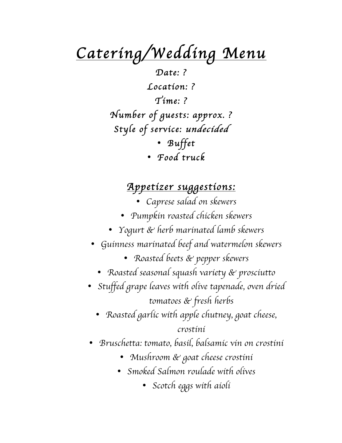*Catering/Wedding Menu* 

*Date: ? Location: ? Time: ? Number of guests: approx. ? Style of service: undecided*  • *Buffet*  • *Food truck* 

#### *Appetizer suggestions:*

- *Caprese salad on skewers*
- *Pumpkin roasted chicken skewers*
- *Yogurt & herb marinated lamb skewers*
- *Guinness marinated beef and watermelon skewers*
	- *Roasted beets & pepper skewers*
	- *Roasted seasonal squash variety & prosciutto*
- *Stuffed grape leaves with olive tapenade, oven dried tomatoes & fresh herbs*
	- *Roasted garlic with apple chutney, goat cheese, crostini*
- *Bruschetta: tomato, basil, balsamic vin on crostini*
	- *Mushroom & goat cheese crostini*
	- *Smoked Salmon roulade with olives*
		- *Scotch eggs with aioli*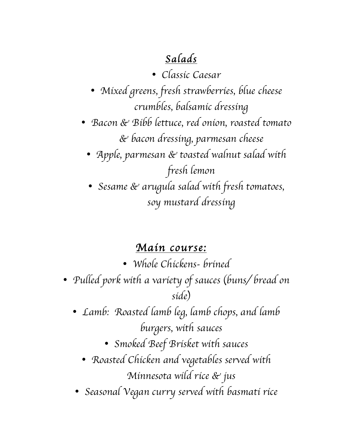# *Salads*

• *Classic Caesar* 

- *Mixed greens, fresh strawberries, blue cheese crumbles, balsamic dressing*
- *Bacon & Bibb lettuce, red onion, roasted tomato & bacon dressing, parmesan cheese* 
	- *Apple, parmesan & toasted walnut salad with fresh lemon*
	- *Sesame & arugula salad with fresh tomatoes, soy mustard dressing*

## *Main course:*

- *Whole Chickens- brined*
- *Pulled pork with a variety of sauces* (*buns/ bread on side*)
	- *Lamb: Roasted lamb leg, lamb chops, and lamb burgers, with sauces*
		- *Smoked Beef Brisket with sauces*
		- *Roasted Chicken and vegetables served with Minnesota wild rice & jus*
	- *Seasonal Vegan curry served with basmati rice*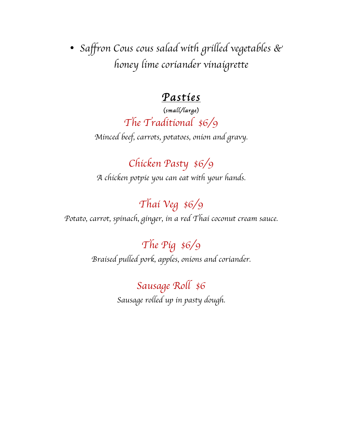• *Saffron Cous cous salad with grilled vegetables & honey lime coriander vinaigrette*

### *Pasties*

## (*small/large*) *The Traditional \$6/9*

*Minced beef, carrots, potatoes, onion and gravy.*

*Chicken Pasty \$6/9 A chicken potpie you can eat with your hands.*

# *Thai Veg \$6/9*

*Potato, carrot, spinach, ginger, in a red Thai coconut cream sauce.*

*The Pig \$6/9 Braised pulled pork, apples, onions and coriander.*

> *Sausage Roll \$6 Sausage rolled up in pasty dough.*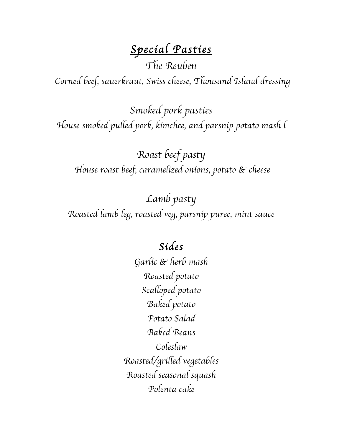# *Special Pasties*

*The Reuben*

*Corned beef, sauerkraut, Swiss cheese, Thousand Island dressing* 

*Smoked pork pasties House smoked pulled pork, kimchee, and parsnip potato mash l*

*Roast beef pasty House roast beef, caramelized onions, potato & cheese* 

*Lamb pasty Roasted lamb leg, roasted veg, parsnip puree, mint sauce*

## *Sides*

*Garlic & herb mash Roasted potato Scalloped potato Baked potato Potato Salad Baked Beans Coleslaw Roasted/grilled vegetables Roasted seasonal squash Polenta cake*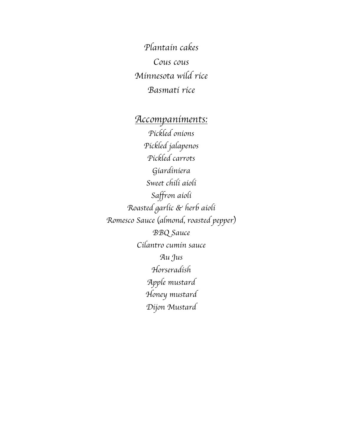*Plantain cakes Cous cous Minnesota wild rice Basmati rice*

*Accompaniments: Pickled onions Pickled jalapenos Pickled carrots Giardiniera Sweet chili aioli Saffron aioli Roasted garlic & herb aioli Romesco Sauce* (*almond, roasted pepper*) *BBQ Sauce Cilantro cumin sauce Au Jus Horseradish Apple mustard Honey mustard Dijon Mustard*